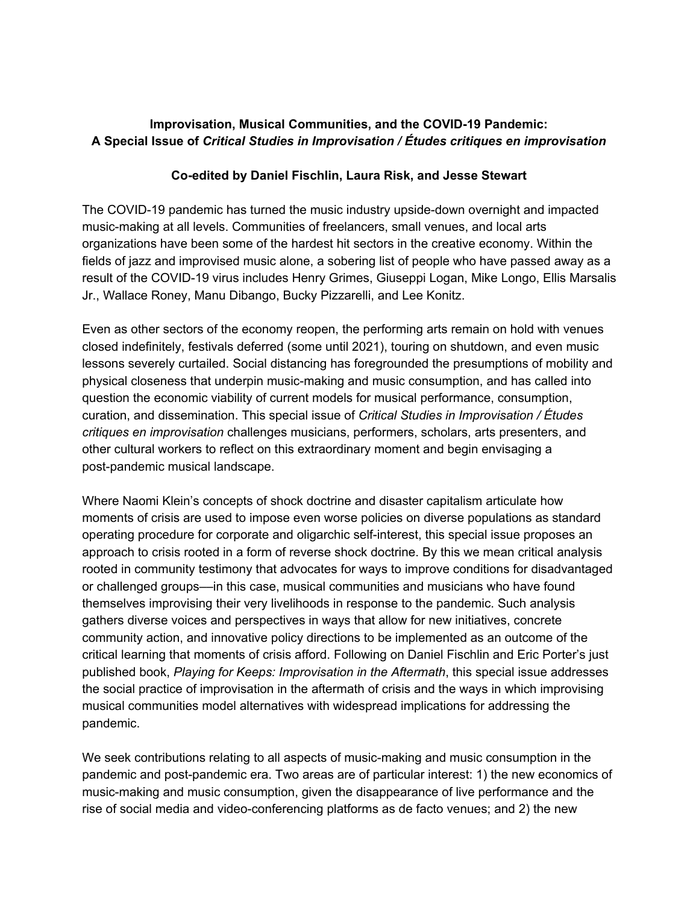## **Improvisation, Musical Communities, and the COVID-19 Pandemic: A Special Issue of** *Critical Studies in Improvisation / Études critiques en improvisation*

## **Co-edited by Daniel Fischlin, Laura Risk, and Jesse Stewart**

The COVID-19 pandemic has turned the music industry upside-down overnight and impacted music-making at all levels. Communities of freelancers, small venues, and local arts organizations have been some of the hardest hit sectors in the creative economy. Within the fields of jazz and improvised music alone, a sobering list of people who have passed away as a result of the COVID-19 virus includes Henry Grimes, Giuseppi Logan, Mike Longo, Ellis Marsalis Jr., Wallace Roney, Manu Dibango, Bucky Pizzarelli, and Lee Konitz.

Even as other sectors of the economy reopen, the performing arts remain on hold with venues closed indefinitely, festivals deferred (some until 2021), touring on shutdown, and even music lessons severely curtailed. Social distancing has foregrounded the presumptions of mobility and physical closeness that underpin music-making and music consumption, and has called into question the economic viability of current models for musical performance, consumption, curation, and dissemination. This special issue of *Critical Studies in Improvisation / Études critiques en improvisation* challenges musicians, performers, scholars, arts presenters, and other cultural workers to reflect on this extraordinary moment and begin envisaging a post-pandemic musical landscape.

Where Naomi Klein's concepts of shock doctrine and disaster capitalism articulate how moments of crisis are used to impose even worse policies on diverse populations as standard operating procedure for corporate and oligarchic self-interest, this special issue proposes an approach to crisis rooted in a form of reverse shock doctrine. By this we mean critical analysis rooted in community testimony that advocates for ways to improve conditions for disadvantaged or challenged groups––in this case, musical communities and musicians who have found themselves improvising their very livelihoods in response to the pandemic. Such analysis gathers diverse voices and perspectives in ways that allow for new initiatives, concrete community action, and innovative policy directions to be implemented as an outcome of the critical learning that moments of crisis afford. Following on Daniel Fischlin and Eric Porter's just published book, *Playing for Keeps: Improvisation in the Aftermath*, this special issue addresses the social practice of improvisation in the aftermath of crisis and the ways in which improvising musical communities model alternatives with widespread implications for addressing the pandemic.

We seek contributions relating to all aspects of music-making and music consumption in the pandemic and post-pandemic era. Two areas are of particular interest: 1) the new economics of music-making and music consumption, given the disappearance of live performance and the rise of social media and video-conferencing platforms as de facto venues; and 2) the new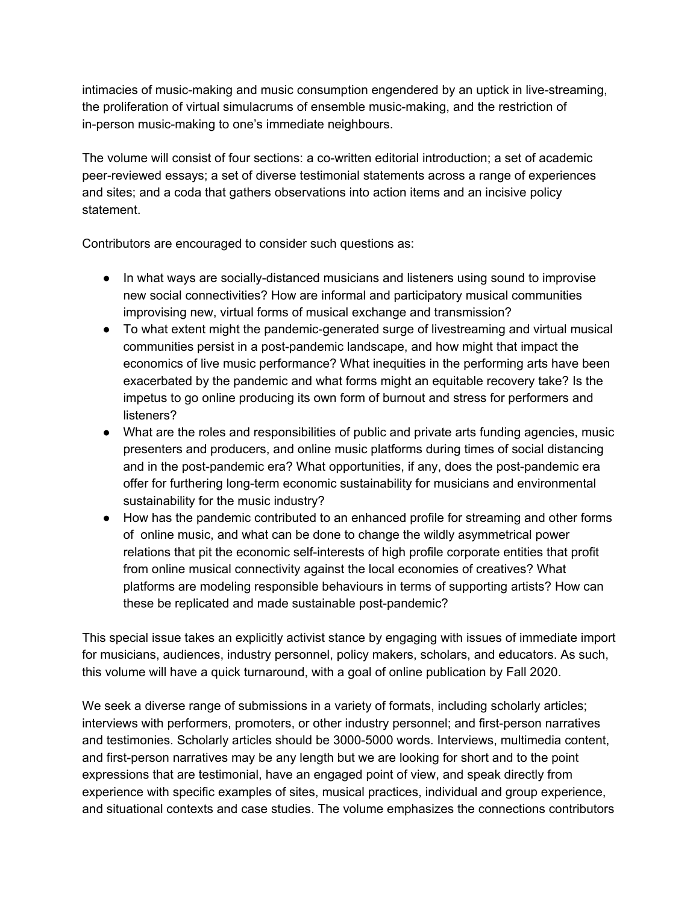intimacies of music-making and music consumption engendered by an uptick in live-streaming, the proliferation of virtual simulacrums of ensemble music-making, and the restriction of in-person music-making to one's immediate neighbours.

The volume will consist of four sections: a co-written editorial introduction; a set of academic peer-reviewed essays; a set of diverse testimonial statements across a range of experiences and sites; and a coda that gathers observations into action items and an incisive policy statement.

Contributors are encouraged to consider such questions as:

- In what ways are socially-distanced musicians and listeners using sound to improvise new social connectivities? How are informal and participatory musical communities improvising new, virtual forms of musical exchange and transmission?
- To what extent might the pandemic-generated surge of livestreaming and virtual musical communities persist in a post-pandemic landscape, and how might that impact the economics of live music performance? What inequities in the performing arts have been exacerbated by the pandemic and what forms might an equitable recovery take? Is the impetus to go online producing its own form of burnout and stress for performers and listeners?
- What are the roles and responsibilities of public and private arts funding agencies, music presenters and producers, and online music platforms during times of social distancing and in the post-pandemic era? What opportunities, if any, does the post-pandemic era offer for furthering long-term economic sustainability for musicians and environmental sustainability for the music industry?
- How has the pandemic contributed to an enhanced profile for streaming and other forms of online music, and what can be done to change the wildly asymmetrical power relations that pit the economic self-interests of high profile corporate entities that profit from online musical connectivity against the local economies of creatives? What platforms are modeling responsible behaviours in terms of supporting artists? How can these be replicated and made sustainable post-pandemic?

This special issue takes an explicitly activist stance by engaging with issues of immediate import for musicians, audiences, industry personnel, policy makers, scholars, and educators. As such, this volume will have a quick turnaround, with a goal of online publication by Fall 2020.

We seek a diverse range of submissions in a variety of formats, including scholarly articles; interviews with performers, promoters, or other industry personnel; and first-person narratives and testimonies. Scholarly articles should be 3000-5000 words. Interviews, multimedia content, and first-person narratives may be any length but we are looking for short and to the point expressions that are testimonial, have an engaged point of view, and speak directly from experience with specific examples of sites, musical practices, individual and group experience, and situational contexts and case studies. The volume emphasizes the connections contributors